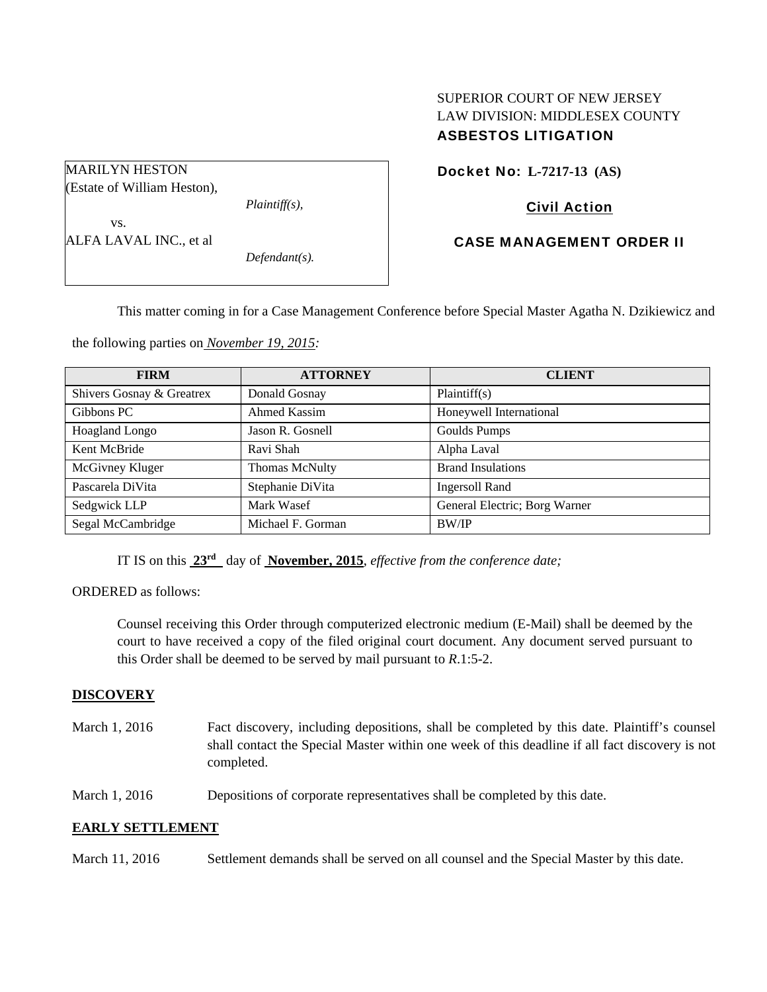# SUPERIOR COURT OF NEW JERSEY LAW DIVISION: MIDDLESEX COUNTY ASBESTOS LITIGATION

| MARILYN HESTON              |                  |  |
|-----------------------------|------------------|--|
| (Estate of William Heston), |                  |  |
|                             | $Plaintiff(s)$ , |  |
| VS.                         |                  |  |
| ALFA LAVAL INC., et al      |                  |  |
|                             | $Defendant(s)$ . |  |
|                             |                  |  |

# Docket No: **L-7217-13 (AS)**

## Civil Action

# CASE MANAGEMENT ORDER II

This matter coming in for a Case Management Conference before Special Master Agatha N. Dzikiewicz and

the following parties on *November 19, 2015:* 

| <b>FIRM</b>               | <b>ATTORNEY</b>       | <b>CLIENT</b>                 |
|---------------------------|-----------------------|-------------------------------|
| Shivers Gosnay & Greatrex | Donald Gosnay         | Plaintiff(s)                  |
| Gibbons PC                | Ahmed Kassim          | Honeywell International       |
| Hoagland Longo            | Jason R. Gosnell      | <b>Goulds Pumps</b>           |
| Kent McBride              | Ravi Shah             | Alpha Laval                   |
| McGivney Kluger           | <b>Thomas McNulty</b> | <b>Brand Insulations</b>      |
| Pascarela DiVita          | Stephanie DiVita      | <b>Ingersoll Rand</b>         |
| Sedgwick LLP              | Mark Wasef            | General Electric; Borg Warner |
| Segal McCambridge         | Michael F. Gorman     | BW/IP                         |

IT IS on this **23rd** day of **November, 2015**, *effective from the conference date;*

ORDERED as follows:

Counsel receiving this Order through computerized electronic medium (E-Mail) shall be deemed by the court to have received a copy of the filed original court document. Any document served pursuant to this Order shall be deemed to be served by mail pursuant to *R*.1:5-2.

### **DISCOVERY**

March 1, 2016 Fact discovery, including depositions, shall be completed by this date. Plaintiff's counsel shall contact the Special Master within one week of this deadline if all fact discovery is not completed.

March 1, 2016 Depositions of corporate representatives shall be completed by this date.

### **EARLY SETTLEMENT**

March 11, 2016 Settlement demands shall be served on all counsel and the Special Master by this date.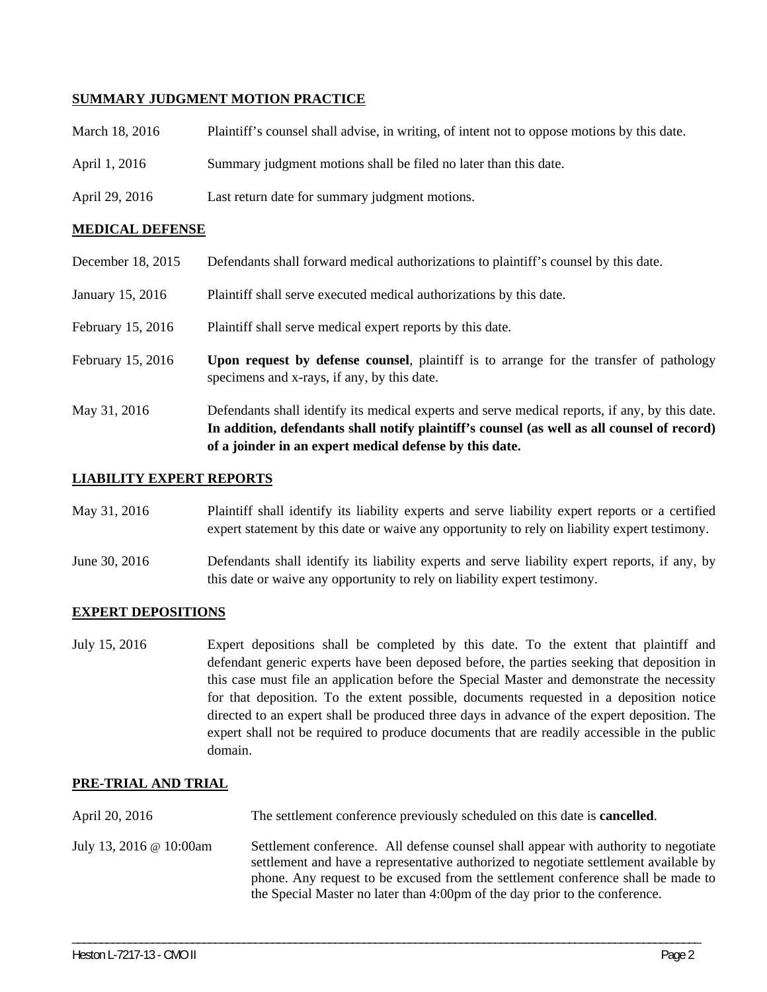## **SUMMARY JUDGMENT MOTION PRACTICE**

- March 18, 2016 Plaintiff's counsel shall advise, in writing, of intent not to oppose motions by this date.
- April 1, 2016 Summary judgment motions shall be filed no later than this date.
- April 29, 2016 Last return date for summary judgment motions.

### **MEDICAL DEFENSE**

- December 18, 2015 Defendants shall forward medical authorizations to plaintiff's counsel by this date.
- January 15, 2016 Plaintiff shall serve executed medical authorizations by this date.
- February 15, 2016 Plaintiff shall serve medical expert reports by this date.
- February 15, 2016 **Upon request by defense counsel**, plaintiff is to arrange for the transfer of pathology specimens and x-rays, if any, by this date.
- May 31, 2016 Defendants shall identify its medical experts and serve medical reports, if any, by this date. **In addition, defendants shall notify plaintiff's counsel (as well as all counsel of record) of a joinder in an expert medical defense by this date.**

## **LIABILITY EXPERT REPORTS**

- May 31, 2016 Plaintiff shall identify its liability experts and serve liability expert reports or a certified expert statement by this date or waive any opportunity to rely on liability expert testimony.
- June 30, 2016 Defendants shall identify its liability experts and serve liability expert reports, if any, by this date or waive any opportunity to rely on liability expert testimony.

### **EXPERT DEPOSITIONS**

July 15, 2016 Expert depositions shall be completed by this date. To the extent that plaintiff and defendant generic experts have been deposed before, the parties seeking that deposition in this case must file an application before the Special Master and demonstrate the necessity for that deposition. To the extent possible, documents requested in a deposition notice directed to an expert shall be produced three days in advance of the expert deposition. The expert shall not be required to produce documents that are readily accessible in the public domain.

### **PRE-TRIAL AND TRIAL**

- April 20, 2016 The settlement conference previously scheduled on this date is **cancelled**.
- July 13, 2016 @ 10:00am Settlement conference. All defense counsel shall appear with authority to negotiate settlement and have a representative authorized to negotiate settlement available by phone. Any request to be excused from the settlement conference shall be made to the Special Master no later than 4:00pm of the day prior to the conference.

\_\_\_\_\_\_\_\_\_\_\_\_\_\_\_\_\_\_\_\_\_\_\_\_\_\_\_\_\_\_\_\_\_\_\_\_\_\_\_\_\_\_\_\_\_\_\_\_\_\_\_\_\_\_\_\_\_\_\_\_\_\_\_\_\_\_\_\_\_\_\_\_\_\_\_\_\_\_\_\_\_\_\_\_\_\_\_\_\_\_\_\_\_\_\_\_\_\_\_\_\_\_\_\_\_\_\_\_\_\_